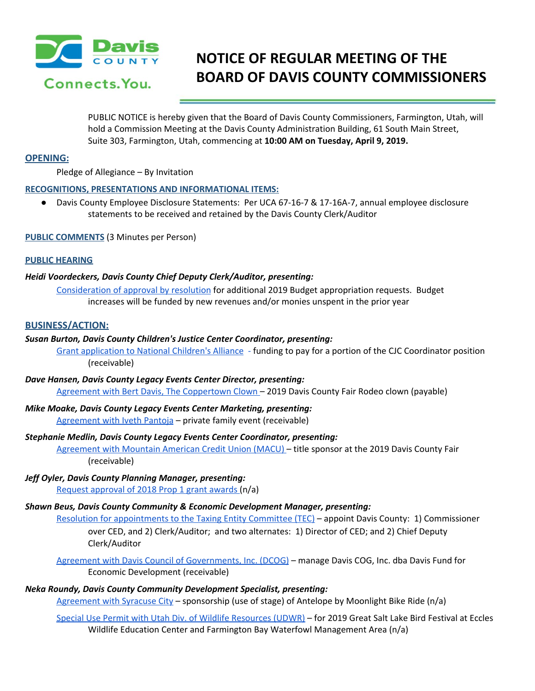

# **NOTICE OF REGULAR MEETING OF THE BOARD OF DAVIS COUNTY COMMISSIONERS**

PUBLIC NOTICE is hereby given that the Board of Davis County Commissioners, Farmington, Utah, will hold a Commission Meeting at the Davis County Administration Building, 61 South Main Street, Suite 303, Farmington, Utah, commencing at **10:00 AM on Tuesday, April 9, 2019.**

# **OPENING:**

Pledge of Allegiance – By Invitation

# **RECOGNITIONS, PRESENTATIONS AND INFORMATIONAL ITEMS:**

● Davis County Employee Disclosure Statements: Per UCA 67-16-7 & 17-16A-7, annual employee disclosure statements to be received and retained by the Davis County Clerk/Auditor

**PUBLIC COMMENTS** (3 Minutes per Person)

# **PUBLIC HEARING**

# *Heidi Voordeckers, Davis County Chief Deputy Clerk/Auditor, presenting:*

[Consideration](https://drive.google.com/a/co.davis.ut.us/file/d/1DeA9y6yeixwJHg-vsF4HwXEtyHqFmKAI/view?usp=drivesdk) of approval by resolution for additional 2019 Budget appropriation requests. Budget increases will be funded by new revenues and/or monies unspent in the prior year

# **BUSINESS/ACTION:**

# *Susan Burton, Davis County Children's Justice Center Coordinator, presenting:*

Grant [application](https://drive.google.com/a/co.davis.ut.us/file/d/1n23D6OR-_j7KrQXSldYBE8OMzClisjxq/view?usp=drivesdk) to National Children's Alliance - funding to pay for a portion of the CJC Coordinator position (receivable)

- *Dave Hansen, Davis County Legacy Events Center Director, presenting:* Agreement with Bert Davis, The [Coppertown](https://drive.google.com/a/co.davis.ut.us/file/d/1Ekydt8OOq3_6z7ZZssLKbQ3GFdsyA6OW/view?usp=drivesdk) Clown – 2019 Davis County Fair Rodeo clown (payable)
- *Mike Moake, Davis County Legacy Events Center Marketing, presenting:* [Agreement](https://drive.google.com/a/co.davis.ut.us/file/d/1LFwgcn-_nk7rlSFGO6ExjgiZHcXnviS1/view?usp=drivesdk) with Iveth Pantoja - private family event (receivable)

### *Stephanie Medlin, Davis County Legacy Events Center Coordinator, presenting:*

[Agreement](https://drive.google.com/a/co.davis.ut.us/file/d/1CwqpPwolop7mGwhoWSOSvLU3YZMP6_sn/view?usp=drivesdk) with Mountain American Credit Union (MACU) – title sponsor at the 2019 Davis County Fair (receivable)

*Jeff Oyler, Davis County Planning Manager, presenting:* Request [approval](https://drive.google.com/a/co.davis.ut.us/file/d/1E6oY6r6KKDgGOvwqqquzm616-2OiSlOx/view?usp=drivesdk) of 2018 Prop 1 grant awards (n/a)

# *Shawn Beus, Davis County Community & Economic Development Manager, presenting:*

Resolution for [appointments](https://drive.google.com/a/co.davis.ut.us/file/d/1YfFc6prZQY8lY5a9NFt5GyfobG6Z0mG_/view?usp=drivesdk) to the Taxing Entity Committee (TEC) – appoint Davis County: 1) Commissioner over CED, and 2) Clerk/Auditor; and two alternates: 1) Director of CED; and 2) Chief Deputy Clerk/Auditor

Agreement with Davis Council of [Governments,](https://drive.google.com/a/co.davis.ut.us/file/d/16cGJD2Y_jHjZcOrKGC1x0cSKCVqjzh_P/view?usp=drivesdk) Inc. (DCOG) – manage Davis COG, Inc. dba Davis Fund for Economic Development (receivable)

# *Neka Roundy, Davis County Community Development Specialist, presenting:*

[Agreement](https://drive.google.com/a/co.davis.ut.us/file/d/1nrCpSaSUGuO58CDA3ZvfSspYlfF54ate/view?usp=drivesdk) with Syracuse City - sponsorship (use of stage) of Antelope by Moonlight Bike Ride (n/a)

Special Use Permit with Utah Div. of Wildlife [Resources](https://drive.google.com/a/co.davis.ut.us/file/d/1BOVpbFs-ONpx4jkSLgFjzEwnyOcvwUl4/view?usp=drivesdk) (UDWR) – for 2019 Great Salt Lake Bird Festival at Eccles Wildlife Education Center and Farmington Bay Waterfowl Management Area (n/a)